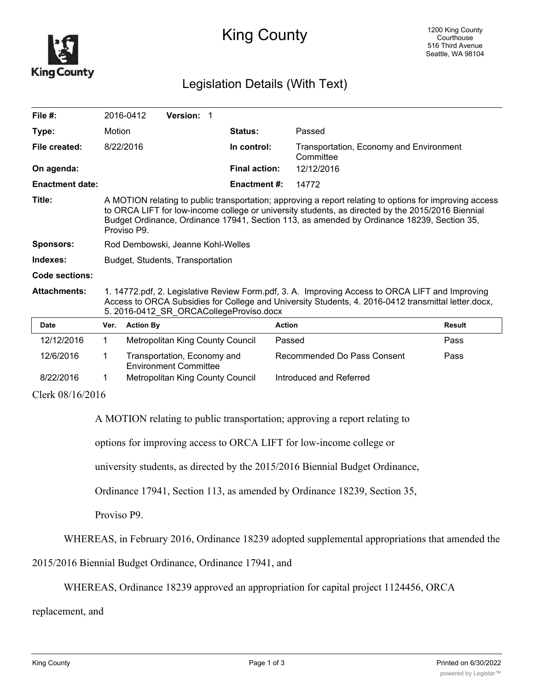

## King County

## Legislation Details (With Text)

| File $#$ :             |                                                                                                                                                                                                                                                                                                                           | 2016-0412        | Version: 1                       |                      |                                                      |               |
|------------------------|---------------------------------------------------------------------------------------------------------------------------------------------------------------------------------------------------------------------------------------------------------------------------------------------------------------------------|------------------|----------------------------------|----------------------|------------------------------------------------------|---------------|
| Type:                  | Motion                                                                                                                                                                                                                                                                                                                    |                  |                                  | <b>Status:</b>       | Passed                                               |               |
| File created:          |                                                                                                                                                                                                                                                                                                                           | 8/22/2016        |                                  | In control:          | Transportation, Economy and Environment<br>Committee |               |
| On agenda:             |                                                                                                                                                                                                                                                                                                                           |                  |                                  | <b>Final action:</b> | 12/12/2016                                           |               |
| <b>Enactment date:</b> |                                                                                                                                                                                                                                                                                                                           |                  |                                  | <b>Enactment #:</b>  | 14772                                                |               |
| Title:                 | A MOTION relating to public transportation; approving a report relating to options for improving access<br>to ORCA LIFT for low-income college or university students, as directed by the 2015/2016 Biennial<br>Budget Ordinance, Ordinance 17941, Section 113, as amended by Ordinance 18239, Section 35,<br>Proviso P9. |                  |                                  |                      |                                                      |               |
| <b>Sponsors:</b>       | Rod Dembowski, Jeanne Kohl-Welles                                                                                                                                                                                                                                                                                         |                  |                                  |                      |                                                      |               |
| Indexes:               | Budget, Students, Transportation                                                                                                                                                                                                                                                                                          |                  |                                  |                      |                                                      |               |
| <b>Code sections:</b>  |                                                                                                                                                                                                                                                                                                                           |                  |                                  |                      |                                                      |               |
| <b>Attachments:</b>    | 1. 14772.pdf, 2. Legislative Review Form.pdf, 3. A. Improving Access to ORCA LIFT and Improving<br>Access to ORCA Subsidies for College and University Students, 4. 2016-0412 transmittal letter.docx,<br>5. 2016-0412 SR ORCACollegeProviso.docx                                                                         |                  |                                  |                      |                                                      |               |
| <b>Date</b>            | Ver.                                                                                                                                                                                                                                                                                                                      | <b>Action By</b> |                                  |                      | <b>Action</b>                                        | <b>Result</b> |
| 12/12/2016             | $\mathbf 1$                                                                                                                                                                                                                                                                                                               |                  | Metropolitan King County Council |                      | Passed                                               | Pass          |
| 12/6/2016              | 1                                                                                                                                                                                                                                                                                                                         |                  | Transportation, Economy and      |                      | Recommended Do Pass Consent                          | Pass          |

8/22/2016 1 Metropolitan King County Council Introduced and Referred Clerk 08/16/2016

A MOTION relating to public transportation; approving a report relating to

options for improving access to ORCA LIFT for low-income college or

university students, as directed by the 2015/2016 Biennial Budget Ordinance,

Ordinance 17941, Section 113, as amended by Ordinance 18239, Section 35,

Proviso P9.

WHEREAS, in February 2016, Ordinance 18239 adopted supplemental appropriations that amended the

2015/2016 Biennial Budget Ordinance, Ordinance 17941, and

Environment Committee

WHEREAS, Ordinance 18239 approved an appropriation for capital project 1124456, ORCA

replacement, and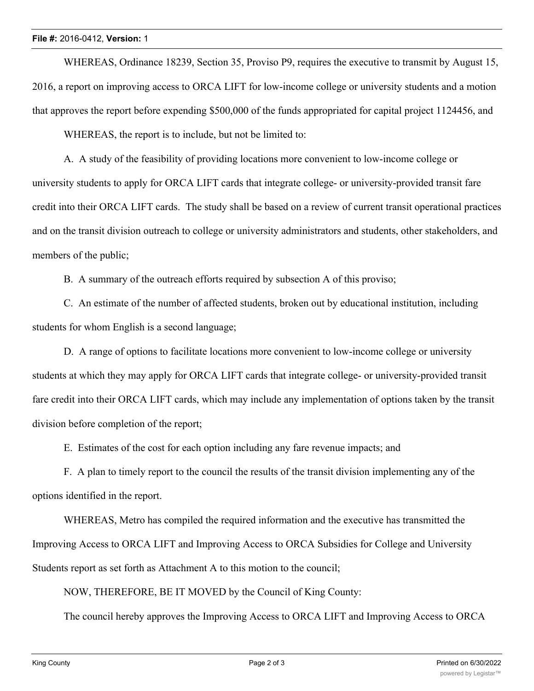## **File #:** 2016-0412, **Version:** 1

WHEREAS, Ordinance 18239, Section 35, Proviso P9, requires the executive to transmit by August 15, 2016, a report on improving access to ORCA LIFT for low-income college or university students and a motion that approves the report before expending \$500,000 of the funds appropriated for capital project 1124456, and

WHEREAS, the report is to include, but not be limited to:

A. A study of the feasibility of providing locations more convenient to low-income college or university students to apply for ORCA LIFT cards that integrate college- or university-provided transit fare credit into their ORCA LIFT cards. The study shall be based on a review of current transit operational practices and on the transit division outreach to college or university administrators and students, other stakeholders, and members of the public;

B. A summary of the outreach efforts required by subsection A of this proviso;

C. An estimate of the number of affected students, broken out by educational institution, including students for whom English is a second language;

D. A range of options to facilitate locations more convenient to low-income college or university students at which they may apply for ORCA LIFT cards that integrate college- or university-provided transit fare credit into their ORCA LIFT cards, which may include any implementation of options taken by the transit division before completion of the report;

E. Estimates of the cost for each option including any fare revenue impacts; and

F. A plan to timely report to the council the results of the transit division implementing any of the options identified in the report.

WHEREAS, Metro has compiled the required information and the executive has transmitted the Improving Access to ORCA LIFT and Improving Access to ORCA Subsidies for College and University Students report as set forth as Attachment A to this motion to the council;

NOW, THEREFORE, BE IT MOVED by the Council of King County:

The council hereby approves the Improving Access to ORCA LIFT and Improving Access to ORCA